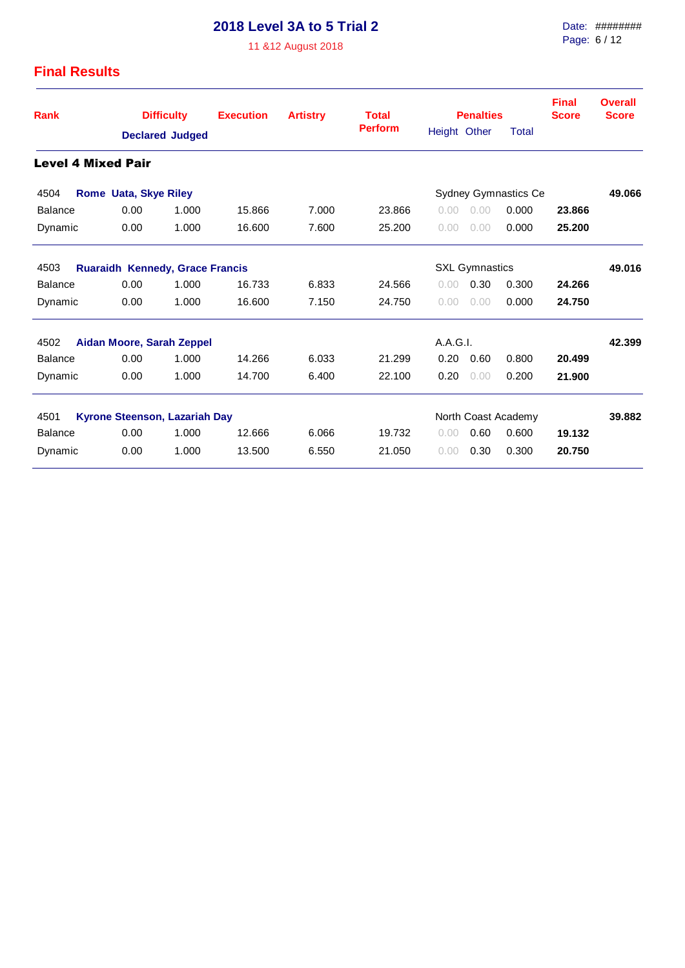11 &12 August 2018

| Rank                              | <b>Difficulty</b><br><b>Execution</b> |                        | <b>Artistry</b> | <b>Total</b>          |                | <b>Penalties</b> |                      | <b>Final</b><br><b>Score</b> | <b>Overall</b><br><b>Score</b> |        |
|-----------------------------------|---------------------------------------|------------------------|-----------------|-----------------------|----------------|------------------|----------------------|------------------------------|--------------------------------|--------|
|                                   |                                       | <b>Declared Judged</b> |                 |                       | <b>Perform</b> | Height Other     |                      | Total                        |                                |        |
| <b>Level 4 Mixed Pair</b>         |                                       |                        |                 |                       |                |                  |                      |                              |                                |        |
| 4504                              | <b>Rome Uata, Skye Riley</b>          |                        |                 |                       |                |                  | Sydney Gymnastics Ce |                              | 49.066                         |        |
| Balance                           | 0.00                                  | 1.000                  | 15.866          | 7.000                 | 23.866         | 0.00             | 0.00                 | 0.000                        | 23.866                         |        |
| Dynamic                           | 0.00                                  | 1.000                  | 16.600          | 7.600                 | 25.200         | 0.00             | 0.00                 | 0.000                        | 25.200                         |        |
| 4503                              | Ruaraidh Kennedy, Grace Francis       |                        |                 | <b>SXL Gymnastics</b> |                |                  |                      |                              | 49.016                         |        |
| <b>Balance</b>                    | 0.00                                  | 1.000                  | 16.733          | 6.833                 | 24.566         | 0.00             | 0.30                 | 0.300                        | 24.266                         |        |
| Dynamic                           | 0.00                                  | 1.000                  | 16.600          | 7.150                 | 24.750         | 0.00             | 0.00                 | 0.000                        | 24.750                         |        |
| 4502<br>Aidan Moore, Sarah Zeppel |                                       | A.A.G.I.               |                 |                       |                | 42.399           |                      |                              |                                |        |
| <b>Balance</b>                    | 0.00                                  | 1.000                  | 14.266          | 6.033                 | 21.299         | 0.20             | 0.60                 | 0.800                        | 20.499                         |        |
| Dynamic                           | 0.00                                  | 1.000                  | 14.700          | 6.400                 | 22.100         | 0.20             | 0.00                 | 0.200                        | 21.900                         |        |
| 4501                              | Kyrone Steenson, Lazariah Day         |                        |                 |                       |                |                  |                      | North Coast Academy          |                                | 39.882 |
| Balance                           | 0.00                                  | 1.000                  | 12.666          | 6.066                 | 19.732         | 0.00             | 0.60                 | 0.600                        | 19.132                         |        |
| Dynamic                           | 0.00                                  | 1.000                  | 13.500          | 6.550                 | 21.050         | 0.00             | 0.30                 | 0.300                        | 20.750                         |        |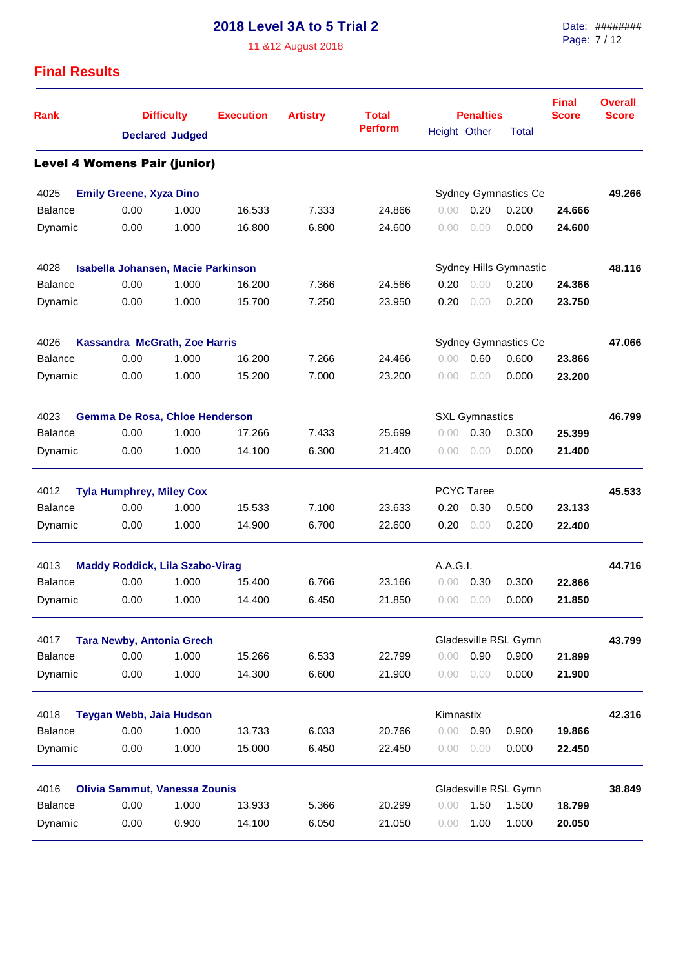11 &12 August 2018

| <b>Rank</b>                         |                                        | <b>Difficulty</b><br><b>Declared Judged</b> |        | <b>Artistry</b> | <b>Total</b>   |                        | <b>Penalties</b>             |                      | <b>Final</b><br><b>Score</b> | <b>Overall</b><br><b>Score</b> |
|-------------------------------------|----------------------------------------|---------------------------------------------|--------|-----------------|----------------|------------------------|------------------------------|----------------------|------------------------------|--------------------------------|
|                                     |                                        |                                             |        |                 | <b>Perform</b> |                        | Height Other<br><b>Total</b> |                      |                              |                                |
| <b>Level 4 Womens Pair (junior)</b> |                                        |                                             |        |                 |                |                        |                              |                      |                              |                                |
| 4025                                | <b>Emily Greene, Xyza Dino</b>         |                                             |        |                 |                |                        |                              | Sydney Gymnastics Ce |                              | 49.266                         |
| <b>Balance</b>                      | 0.00                                   | 1.000                                       | 16.533 | 7.333           | 24.866         | 0.00                   | 0.20                         | 0.200                | 24.666                       |                                |
| Dynamic                             | 0.00                                   | 1.000                                       | 16.800 | 6.800           | 24.600         | 0.00                   | 0.00                         | 0.000                | 24.600                       |                                |
| 4028                                | Isabella Johansen, Macie Parkinson     |                                             |        |                 |                | Sydney Hills Gymnastic |                              | 48.116               |                              |                                |
| <b>Balance</b>                      | 0.00                                   | 1.000                                       | 16.200 | 7.366           | 24.566         | 0.20                   | 0.00                         | 0.200                | 24.366                       |                                |
| Dynamic                             | 0.00                                   | 1.000                                       | 15.700 | 7.250           | 23.950         | 0.20                   | 0.00                         | 0.200                | 23.750                       |                                |
| 4026                                | Kassandra McGrath, Zoe Harris          |                                             |        |                 |                |                        |                              | Sydney Gymnastics Ce |                              | 47.066                         |
| <b>Balance</b>                      | 0.00                                   | 1.000                                       | 16.200 | 7.266           | 24.466         | 0.00                   | 0.60                         | 0.600                | 23.866                       |                                |
| Dynamic                             | 0.00                                   | 1.000                                       | 15.200 | 7.000           | 23.200         | 0.00                   | 0.00                         | 0.000                | 23.200                       |                                |
| 4023                                | Gemma De Rosa, Chloe Henderson         |                                             |        |                 |                |                        | <b>SXL Gymnastics</b>        |                      |                              | 46.799                         |
| <b>Balance</b>                      | 0.00                                   | 1.000                                       | 17.266 | 7.433           | 25.699         | 0.00                   | 0.30                         | 0.300                | 25.399                       |                                |
| Dynamic                             | 0.00                                   | 1.000                                       | 14.100 | 6.300           | 21.400         | 0.00                   | 0.00                         | 0.000                | 21.400                       |                                |
| 4012                                | <b>Tyla Humphrey, Miley Cox</b>        |                                             |        |                 |                |                        | <b>PCYC Taree</b>            |                      |                              | 45.533                         |
| <b>Balance</b>                      | 0.00                                   | 1.000                                       | 15.533 | 7.100           | 23.633         | 0.20                   | 0.30                         | 0.500                | 23.133                       |                                |
| Dynamic                             | 0.00                                   | 1.000                                       | 14.900 | 6.700           | 22.600         | 0.20                   | 0.00                         | 0.200                | 22.400                       |                                |
| 4013                                | <b>Maddy Roddick, Lila Szabo-Virag</b> |                                             |        |                 |                | A.A.G.I.               |                              |                      |                              | 44.716                         |
| <b>Balance</b>                      | 0.00                                   | 1.000                                       | 15.400 | 6.766           | 23.166         | 0.00                   | 0.30                         | 0.300                | 22.866                       |                                |
| Dynamic                             | 0.00                                   | 1.000                                       | 14.400 | 6.450           | 21.850         | 0.00                   | 0.00                         | 0.000                | 21.850                       |                                |
| 4017                                | <b>Tara Newby, Antonia Grech</b>       |                                             |        |                 |                |                        |                              | Gladesville RSL Gymn |                              | 43.799                         |
| <b>Balance</b>                      | 0.00                                   | 1.000                                       | 15.266 | 6.533           | 22.799         | 0.00                   | 0.90                         | 0.900                | 21.899                       |                                |
| Dynamic                             | 0.00                                   | 1.000                                       | 14.300 | 6.600           | 21.900         | 0.00                   | 0.00                         | 0.000                | 21.900                       |                                |
| 4018                                | Teygan Webb, Jaia Hudson               |                                             |        |                 |                | Kimnastix              |                              |                      |                              | 42.316                         |
| <b>Balance</b>                      | 0.00                                   | 1.000                                       | 13.733 | 6.033           | 20.766         | 0.00                   | 0.90                         | 0.900                | 19.866                       |                                |
| Dynamic                             | 0.00                                   | 1.000                                       | 15.000 | 6.450           | 22.450         | 0.00                   | 0.00                         | 0.000                | 22.450                       |                                |
| 4016                                | Olivia Sammut, Vanessa Zounis          |                                             |        |                 |                |                        |                              | Gladesville RSL Gymn |                              | 38.849                         |
| Balance                             | 0.00                                   | 1.000                                       | 13.933 | 5.366           | 20.299         | 0.00                   | 1.50                         | 1.500                | 18.799                       |                                |
| Dynamic                             | 0.00                                   | 0.900                                       | 14.100 | 6.050           | 21.050         | 0.00                   | 1.00                         | 1.000                | 20.050                       |                                |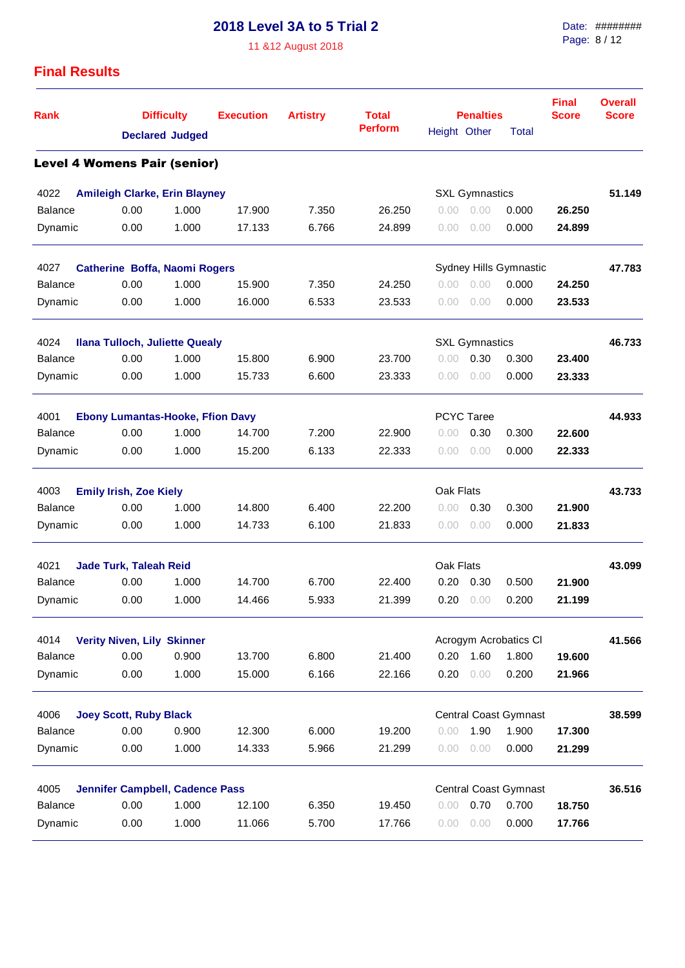11 &12 August 2018

| <b>Rank</b>                         |                                         | <b>Difficulty</b><br><b>Declared Judged</b> |        | <b>Artistry</b> | <b>Total</b>   |              | <b>Penalties</b>      | <b>Final</b><br><b>Score</b> | <b>Overall</b><br><b>Score</b> |        |
|-------------------------------------|-----------------------------------------|---------------------------------------------|--------|-----------------|----------------|--------------|-----------------------|------------------------------|--------------------------------|--------|
|                                     |                                         |                                             |        |                 | <b>Perform</b> | Height Other |                       | <b>Total</b>                 |                                |        |
| <b>Level 4 Womens Pair (senior)</b> |                                         |                                             |        |                 |                |              |                       |                              |                                |        |
| 4022                                | <b>Amileigh Clarke, Erin Blayney</b>    |                                             |        |                 |                |              | <b>SXL Gymnastics</b> |                              |                                | 51.149 |
| <b>Balance</b>                      | 0.00                                    | 1.000                                       | 17.900 | 7.350           | 26.250         | 0.00         | 0.00                  | 0.000                        | 26.250                         |        |
| Dynamic                             | 0.00                                    | 1.000                                       | 17.133 | 6.766           | 24.899         | 0.00         | 0.00                  | 0.000                        | 24.899                         |        |
| 4027                                | Catherine Boffa, Naomi Rogers           |                                             |        |                 |                |              |                       | Sydney Hills Gymnastic       |                                | 47.783 |
| <b>Balance</b>                      | 0.00                                    | 1.000                                       | 15.900 | 7.350           | 24.250         | 0.00         | 0.00                  | 0.000                        | 24.250                         |        |
| Dynamic                             | 0.00                                    | 1.000                                       | 16.000 | 6.533           | 23.533         | 0.00         | 0.00                  | 0.000                        | 23.533                         |        |
| 4024                                | <b>Ilana Tulloch, Juliette Quealy</b>   |                                             |        |                 |                |              | <b>SXL Gymnastics</b> |                              |                                | 46.733 |
| Balance                             | 0.00                                    | 1.000                                       | 15.800 | 6.900           | 23.700         | 0.00         | 0.30                  | 0.300                        | 23.400                         |        |
| Dynamic                             | 0.00                                    | 1.000                                       | 15.733 | 6.600           | 23.333         | 0.00         | 0.00                  | 0.000                        | 23.333                         |        |
| 4001                                | <b>Ebony Lumantas-Hooke, Ffion Davy</b> |                                             |        |                 |                |              | <b>PCYC Taree</b>     |                              |                                | 44.933 |
| <b>Balance</b>                      | 0.00                                    | 1.000                                       | 14.700 | 7.200           | 22.900         | 0.00         | 0.30                  | 0.300                        | 22,600                         |        |
| Dynamic                             | 0.00                                    | 1.000                                       | 15.200 | 6.133           | 22.333         | 0.00         | 0.00                  | 0.000                        | 22.333                         |        |
| 4003                                | <b>Emily Irish, Zoe Kiely</b>           |                                             |        |                 |                | Oak Flats    |                       |                              |                                | 43.733 |
| <b>Balance</b>                      | 0.00                                    | 1.000                                       | 14.800 | 6.400           | 22.200         | 0.00         | 0.30                  | 0.300                        | 21.900                         |        |
| Dynamic                             | 0.00                                    | 1.000                                       | 14.733 | 6.100           | 21.833         | 0.00         | 0.00                  | 0.000                        | 21.833                         |        |
| 4021                                | <b>Jade Turk, Taleah Reid</b>           |                                             |        |                 |                | Oak Flats    |                       |                              |                                | 43.099 |
| <b>Balance</b>                      | 0.00                                    | 1.000                                       | 14.700 | 6.700           | 22,400         | 0.20         | 0.30                  | 0.500                        | 21.900                         |        |
| Dynamic                             | 0.00                                    | 1.000                                       | 14.466 | 5.933           | 21.399         | 0.20         | 0.00                  | 0.200                        | 21.199                         |        |
| 4014                                | <b>Verity Niven, Lily Skinner</b>       |                                             |        |                 |                |              |                       | Acrogym Acrobatics Cl        |                                | 41.566 |
| <b>Balance</b>                      | 0.00                                    | 0.900                                       | 13.700 | 6.800           | 21.400         | 0.20         | 1.60                  | 1.800                        | 19.600                         |        |
| Dynamic                             | 0.00                                    | 1.000                                       | 15.000 | 6.166           | 22.166         | 0.20         | 0.00                  | 0.200                        | 21.966                         |        |
| 4006                                | <b>Joey Scott, Ruby Black</b>           |                                             |        |                 |                |              |                       | <b>Central Coast Gymnast</b> |                                | 38.599 |
| Balance                             | 0.00                                    | 0.900                                       | 12.300 | 6.000           | 19.200         | 0.00         | 1.90                  | 1.900                        | 17.300                         |        |
| Dynamic                             | 0.00                                    | 1.000                                       | 14.333 | 5.966           | 21.299         | 0.00         | 0.00                  | 0.000                        | 21.299                         |        |
| 4005                                | <b>Jennifer Campbell, Cadence Pass</b>  |                                             |        |                 |                |              |                       | <b>Central Coast Gymnast</b> |                                | 36.516 |
| Balance                             | 0.00                                    | 1.000                                       | 12.100 | 6.350           | 19.450         | 0.00         | 0.70                  | 0.700                        | 18.750                         |        |
| Dynamic                             | 0.00                                    | 1.000                                       | 11.066 | 5.700           | 17.766         | 0.00         | 0.00                  | 0.000                        | 17.766                         |        |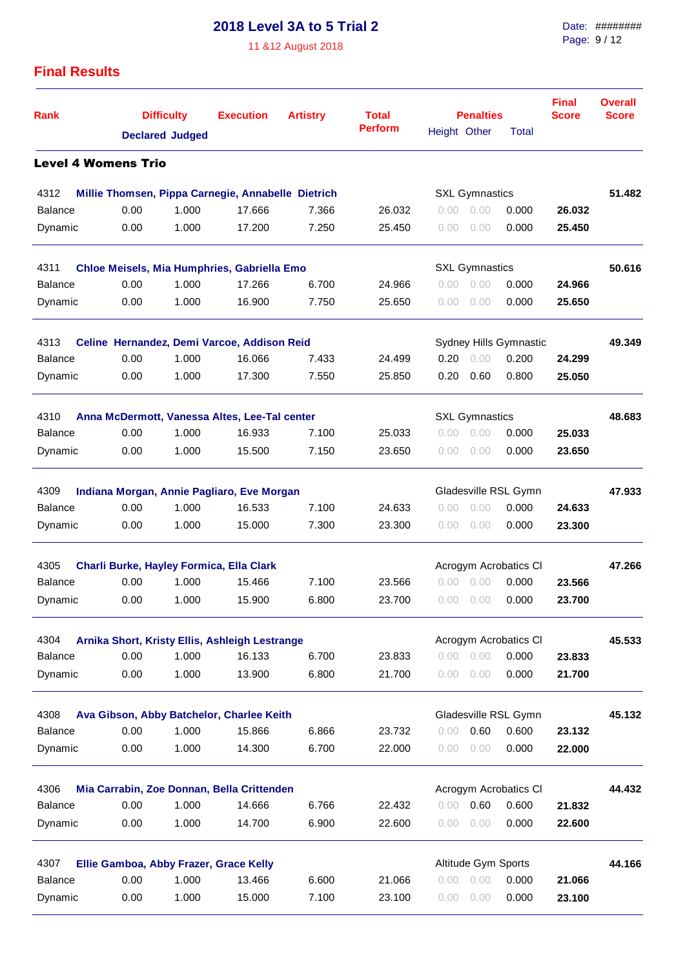11 &12 August 2018

| <b>Rank</b>                |      | <b>Difficulty</b>      |                                                    | <b>Artistry</b> | <b>Total</b>   |                | <b>Penalties</b>      | <b>Final</b><br><b>Score</b> | <b>Overall</b><br><b>Score</b> |        |
|----------------------------|------|------------------------|----------------------------------------------------|-----------------|----------------|----------------|-----------------------|------------------------------|--------------------------------|--------|
|                            |      | <b>Declared Judged</b> |                                                    |                 | <b>Perform</b> | Height Other   |                       | Total                        |                                |        |
| <b>Level 4 Womens Trio</b> |      |                        |                                                    |                 |                |                |                       |                              |                                |        |
| 4312                       |      |                        | Millie Thomsen, Pippa Carnegie, Annabelle Dietrich |                 |                |                | <b>SXL Gymnastics</b> |                              |                                | 51.482 |
| <b>Balance</b>             | 0.00 | 1.000                  | 17.666                                             | 7.366           | 26.032         | 0.00           | 0.00                  | 0.000                        | 26.032                         |        |
| Dynamic                    | 0.00 | 1.000                  | 17.200                                             | 7.250           | 25.450         | 0.00           | 0.00                  | 0.000                        | 25.450                         |        |
| 4311                       |      |                        | Chloe Meisels, Mia Humphries, Gabriella Emo        |                 |                |                | <b>SXL Gymnastics</b> |                              |                                | 50.616 |
| <b>Balance</b>             | 0.00 | 1.000                  | 17.266                                             | 6.700           | 24.966         | 0.00           | 0.00                  | 0.000                        | 24.966                         |        |
| Dynamic                    | 0.00 | 1.000                  | 16.900                                             | 7.750           | 25.650         | 0.00           | 0.00                  | 0.000                        | 25.650                         |        |
| 4313                       |      |                        | Celine Hernandez, Demi Varcoe, Addison Reid        |                 |                |                |                       | Sydney Hills Gymnastic       |                                | 49.349 |
| <b>Balance</b>             | 0.00 | 1.000                  | 16.066                                             | 7.433           | 24.499         | 0.20           | 0.00                  | 0.200                        | 24.299                         |        |
| Dynamic                    | 0.00 | 1.000                  | 17.300                                             | 7.550           | 25.850         | 0.20           | 0.60                  | 0.800                        | 25.050                         |        |
| 4310                       |      |                        | Anna McDermott, Vanessa Altes, Lee-Tal center      |                 |                |                | <b>SXL Gymnastics</b> |                              |                                | 48.683 |
| <b>Balance</b>             | 0.00 | 1.000                  | 16.933                                             | 7.100           | 25.033         | 0.00           | 0.00                  | 0.000                        | 25.033                         |        |
| Dynamic                    | 0.00 | 1.000                  | 15.500                                             | 7.150           | 23.650         | 0.00           | 0.00                  | 0.000                        | 23.650                         |        |
| 4309                       |      |                        | Indiana Morgan, Annie Pagliaro, Eve Morgan         |                 |                |                |                       | Gladesville RSL Gymn         |                                | 47.933 |
| <b>Balance</b>             | 0.00 | 1.000                  | 16.533                                             | 7.100           | 24.633         | $0.00^{\circ}$ | 0.00                  | 0.000                        | 24.633                         |        |
| Dynamic                    | 0.00 | 1.000                  | 15.000                                             | 7.300           | 23.300         | $0.00^{\circ}$ | 0.00                  | 0.000                        | 23.300                         |        |
| 4305                       |      |                        | Charli Burke, Hayley Formica, Ella Clark           |                 |                |                |                       | Acrogym Acrobatics CI        |                                | 47.266 |
| <b>Balance</b>             | 0.00 | 1.000                  | 15.466                                             | 7.100           | 23.566         | $0.00^{\circ}$ | 0.00                  | 0.000                        | 23.566                         |        |
| Dynamic                    | 0.00 | 1.000                  | 15.900                                             | 6.800           | 23.700         | 0.00           | 0.00                  | 0.000                        | 23.700                         |        |
| 4304                       |      |                        | Arnika Short, Kristy Ellis, Ashleigh Lestrange     |                 |                |                |                       | Acrogym Acrobatics Cl        |                                | 45.533 |
| <b>Balance</b>             | 0.00 | 1.000                  | 16.133                                             | 6.700           | 23.833         |                | 0.00 0.00             | 0.000                        | 23.833                         |        |
| Dynamic                    | 0.00 | 1.000                  | 13.900                                             | 6.800           | 21.700         | 0.00           | 0.00                  | 0.000                        | 21.700                         |        |
| 4308                       |      |                        | Ava Gibson, Abby Batchelor, Charlee Keith          |                 |                |                |                       | Gladesville RSL Gymn         |                                | 45.132 |
| <b>Balance</b>             | 0.00 | 1.000                  | 15.866                                             | 6.866           | 23.732         | 0.00           | 0.60                  | 0.600                        | 23.132                         |        |
| Dynamic                    | 0.00 | 1.000                  | 14.300                                             | 6.700           | 22.000         | 0.00           | 0.00                  | 0.000                        | 22,000                         |        |
| 4306                       |      |                        | Mia Carrabin, Zoe Donnan, Bella Crittenden         |                 |                |                |                       | Acrogym Acrobatics CI        |                                | 44.432 |
| <b>Balance</b>             | 0.00 | 1.000                  | 14.666                                             | 6.766           | 22.432         | 0.00           | 0.60                  | 0.600                        | 21.832                         |        |
| Dynamic                    | 0.00 | 1.000                  | 14.700                                             | 6.900           | 22.600         | 0.00           | 0.00                  | 0.000                        | 22.600                         |        |
| 4307                       |      |                        | Ellie Gamboa, Abby Frazer, Grace Kelly             |                 |                |                | Altitude Gym Sports   |                              |                                | 44.166 |
| <b>Balance</b>             | 0.00 | 1.000                  | 13.466                                             | 6.600           | 21.066         |                | $0.00 \quad 0.00$     | 0.000                        | 21.066                         |        |
| Dynamic                    | 0.00 | 1.000                  | 15.000                                             | 7.100           | 23.100         | 0.00           | 0.00                  | 0.000                        | 23.100                         |        |